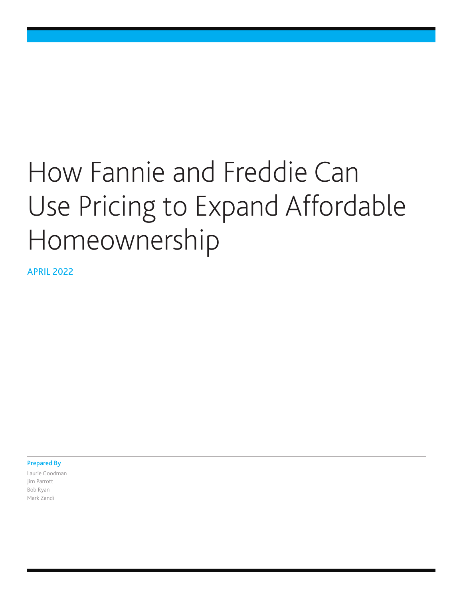# How Fannie and Freddie Can Use Pricing to Expand Affordable Homeownership

APRIL 2022

Prepared By

Laurie Goodman Jim Parrott Bob Ryan Mark Zandi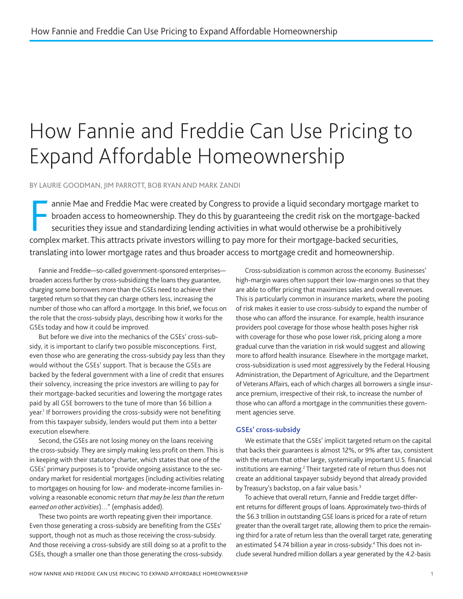# <span id="page-1-0"></span>How Fannie and Freddie Can Use Pricing to Expand Affordable Homeownership

BY LAURIE GOODMAN, JIM PARROTT, BOB RYAN AND MARK ZANDI

F<sub>om</sub> annie Mae and Freddie Mac were created by Congress to provide a liquid secondary mortgage market to broaden access to homeownership. They do this by guaranteeing the credit risk on the mortgage-backed securities they issue and standardizing lending activities in what would otherwise be a prohibitively complex market. This attracts private investors willing to pay more for their mortgage-backed securities, translating into lower mortgage rates and thus broader access to mortgage credit and homeownership.

Fannie and Freddie—so-called government-sponsored enterprises broaden access further by cross-subsidizing the loans they guarantee, charging some borrowers more than the GSEs need to achieve their targeted return so that they can charge others less, increasing the number of those who can afford a mortgage. In this brief, we focus on the role that the cross-subsidy plays, describing how it works for the GSEs today and how it could be improved.

But before we dive into the mechanics of the GSEs' cross-subsidy, it is important to clarify two possible misconceptions. First, even those who are generating the cross-subsidy pay less than they would without the GSEs' support. That is because the GSEs are backed by the federal government with a line of credit that ensures their solvency, increasing the price investors are willing to pay for their mortgage-backed securities and lowering the mortgage rates paid by all GSE borrowers to the tune of more than \$6 billion a year.<sup>1</sup> If borrowers providing the cross-subsidy were not benefiting from this taxpayer subsidy, lenders would put them into a better execution elsewhere.

Second, the GSEs are not losing money on the loans receiving the cross-subsidy. They are simply making less profit on them. This is in keeping with their statutory charter, which states that one of the GSEs' primary purposes is to "provide ongoing assistance to the secondary market for residential mortgages (including activities relating to mortgages on housing for low- and moderate-income families involving a reasonable economic return *that may be less than the return earned on other activities*)…" (emphasis added).

These two points are worth repeating given their importance. Even those generating a cross-subsidy are benefiting from the GSEs' support, though not as much as those receiving the cross-subsidy. And those receiving a cross-subsidy are still doing so at a profit to the GSEs, though a smaller one than those generating the cross-subsidy.

Cross-subsidization is common across the economy. Businesses' high-margin wares often support their low-margin ones so that they are able to offer pricing that maximizes sales and overall revenues. This is particularly common in insurance markets, where the pooling of risk makes it easier to use cross-subsidy to expand the number of those who can afford the insurance. For example, health insurance providers pool coverage for those whose health poses higher risk with coverage for those who pose lower risk, pricing along a more gradual curve than the variation in risk would suggest and allowing more to afford health insurance. Elsewhere in the mortgage market, cross-subsidization is used most aggressively by the Federal Housing Administration, the Department of Agriculture, and the Department of Veterans Affairs, each of which charges all borrowers a single insurance premium, irrespective of their risk, to increase the number of those who can afford a mortgage in the communities these government agencies serve.

#### **GSEs' cross-subsidy**

We estimate that the GSEs' implicit targeted return on the capital that backs their guarantees is almost 12%, or 9% after tax, consistent with the return that other large, systemically important U.S. financial institutions are earning.<sup>[2](#page-6-0)</sup> Their targeted rate of return thus does not create an additional taxpayer subsidy beyond that already provided by Treasury's backstop, on a fair value basis.<sup>3</sup>

To achieve that overall return, Fannie and Freddie target different returns for different groups of loans. Approximately two-thirds of the \$6.3 trillion in outstanding GSE loans is priced for a rate of return greater than the overall target rate, allowing them to price the remaining third for a rate of return less than the overall target rate, generating an estimated \$4.74 billion a year in cross-subsidy[.4](#page-6-0) This does not include several hundred million dollars a year generated by the 4.2-basis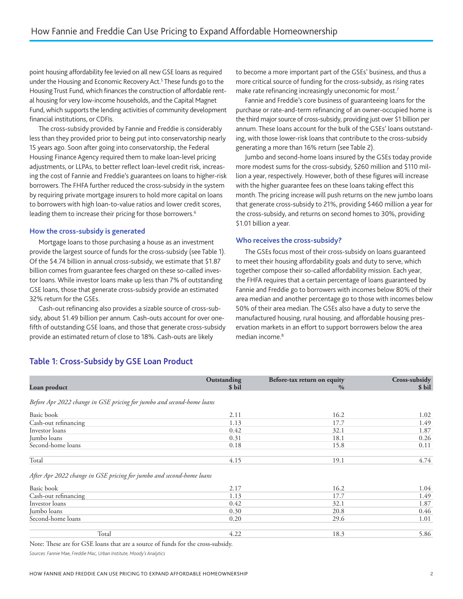<span id="page-2-0"></span>point housing affordability fee levied on all new GSE loans as required under the Housing and Economic Recovery Act.<sup>[5](#page-6-0)</sup> These funds go to the Housing Trust Fund, which finances the construction of affordable rental housing for very low-income households, and the Capital Magnet Fund, which supports the lending activities of community development financial institutions, or CDFIs.

The cross-subsidy provided by Fannie and Freddie is considerably less than they provided prior to being put into conservatorship nearly 15 years ago. Soon after going into conservatorship, the Federal Housing Finance Agency required them to make loan-level pricing adjustments, or LLPAs, to better reflect loan-level credit risk, increasing the cost of Fannie and Freddie's guarantees on loans to higher-risk borrowers. The FHFA further reduced the cross-subsidy in the system by requiring private mortgage insurers to hold more capital on loans to borrowers with high loan-to-value ratios and lower credit scores, leading them to increase their pricing for those borrowers.<sup>6</sup>

#### **How the cross-subsidy is generated**

Mortgage loans to those purchasing a house as an investment provide the largest source of funds for the cross-subsidy (see Table 1). Of the \$4.74 billion in annual cross-subsidy, we estimate that \$1.87 billion comes from guarantee fees charged on these so-called investor loans. While investor loans make up less than 7% of outstanding GSE loans, those that generate cross-subsidy provide an estimated 32% return for the GSEs.

Cash-out refinancing also provides a sizable source of cross-subsidy, about \$1.49 billion per annum. Cash-outs account for over onefifth of outstanding GSE loans, and those that generate cross-subsidy provide an estimated return of close to 18%. Cash-outs are likely

to become a more important part of the GSEs' business, and thus a more critical source of funding for the cross-subsidy, as rising rates make rate refinancing increasingly uneconomic for most.<sup>[7](#page-6-0)</sup>

Fannie and Freddie's core business of guaranteeing loans for the purchase or rate-and-term refinancing of an owner-occupied home is the third major source of cross-subsidy, providing just over \$1 billion per annum. These loans account for the bulk of the GSEs' loans outstanding, with those lower-risk loans that contribute to the cross-subsidy generating a more than 16% return (see Table 2).

Jumbo and second-home loans insured by the GSEs today provide more modest sums for the cross-subsidy, \$260 million and \$110 million a year, respectively. However, both of these figures will increase with the higher guarantee fees on these loans taking effect this month. The pricing increase will push returns on the new jumbo loans that generate cross-subsidy to 21%, providing \$460 million a year for the cross-subsidy, and returns on second homes to 30%, providing \$1.01 billion a year.

#### **Who receives the cross-subsidy?**

The GSEs focus most of their cross-subsidy on loans guaranteed to meet their housing affordability goals and duty to serve, which together compose their so-called affordability mission. Each year, the FHFA requires that a certain percentage of loans guaranteed by Fannie and Freddie go to borrowers with incomes below 80% of their area median and another percentage go to those with incomes below 50% of their area median. The GSEs also have a duty to serve the manufactured housing, rural housing, and affordable housing preservation markets in an effort to support borrowers below the area median income.<sup>8</sup>

# Table 1: Cross-Subsidy by GSE Loan Product

| Loan product                                                          | Outstanding<br>\$ bil | Before-tax return on equity<br>$\%$ | Cross-subsidy<br>\$ bil |
|-----------------------------------------------------------------------|-----------------------|-------------------------------------|-------------------------|
| Before Apr 2022 change in GSE pricing for jumbo and second-home loans |                       |                                     |                         |
| Basic book                                                            | 2.11                  | 16.2                                | 1.02                    |
| Cash-out refinancing                                                  | 1.13                  | 17.7                                | 1.49                    |
| Investor loans                                                        | 0.42                  | 32.1                                | 1.87                    |
| Jumbo loans                                                           | 0.31                  | 18.1                                | 0.26                    |
| Second-home loans                                                     | 0.18                  | 15.8                                | 0.11                    |
| Total                                                                 | 4.15                  | 19.1                                | 4.74                    |
| After Apr 2022 change in GSE pricing for jumbo and second-home loans  |                       |                                     |                         |
| Basic book                                                            | 2.17                  | 16.2                                | 1.04                    |
| Cash-out refinancing                                                  | 1.13                  | 17.7                                | 1.49                    |
| Investor loans                                                        | 0.42                  | 32.1                                | 1.87                    |
| Jumbo loans                                                           | 0.30                  | 20.8                                | 0.46                    |
| Second-home loans                                                     | 0.20                  | 29.6                                | 1.01                    |
| Total                                                                 | 4.22                  | 18.3                                | 5.86                    |

Note: These are for GSE loans that are a source of funds for the cross-subsidy.

*Sources: Fannie Mae, Freddie Mac, Urban Institute, Moody's Analytics*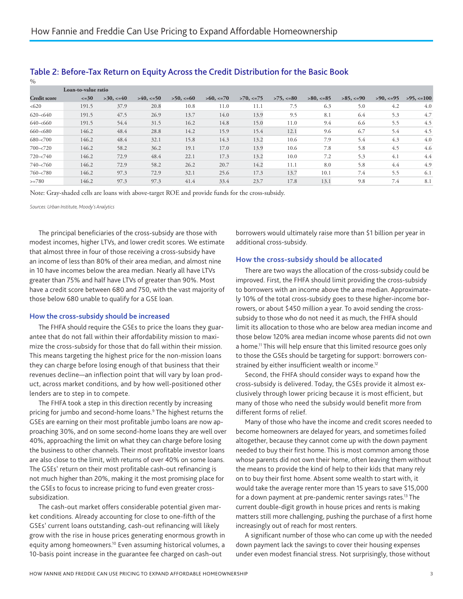| $\%$                |                     |                |               |               |                |                |               |                |                |                |                |
|---------------------|---------------------|----------------|---------------|---------------|----------------|----------------|---------------|----------------|----------------|----------------|----------------|
|                     | Loan-to-value ratio |                |               |               |                |                |               |                |                |                |                |
| <b>Credit score</b> | $\leq -30$          | $>30, \leq 40$ | $>40, \le 50$ | $>50, \le 60$ | $>60, \leq 70$ | $>70, \leq 75$ | $>75, \le 80$ | $>80, \leq 85$ | $>85, \leq 90$ | $>90, \leq 95$ | $>95, \le 100$ |
| < 620               | 191.5               | 37.9           | 20.8          | 10.8          | 11.0           | 11.1           | 7.5           | 6.3            | 5.0            | 4.2            | 4.0            |
| $620 - 640$         | 191.5               | 47.5           | 26.9          | 13.7          | 14.0           | 13.9           | 9.5           | 8.1            | 6.4            | 5.3            | 4.7            |
| $640 - 660$         | 191.5               | 54.4           | 31.5          | 16.2          | 14.8           | 15.0           | 11.0          | 9.4            | 6.6            | 5.5            | 4.5            |
| $660 - 680$         | 146.2               | 48.4           | 28.8          | 14.2          | 15.9           | 15.4           | 12.1          | 9.6            | 6.7            | 5.4            | 4.5            |
| $680 - 700$         | 146.2               | 48.4           | 32.1          | 15.8          | 14.3           | 13.2           | 10.6          | 7.9            | 5.4            | 4.3            | 4.0            |
| $700 - 720$         | 146.2               | 58.2           | 36.2          | 19.1          | 17.0           | 13.9           | 10.6          | 7.8            | 5.8            | 4.5            | 4.6            |
| $720 - 740$         | 146.2               | 72.9           | 48.4          | 22.1          | 17.3           | 13.2           | 10.0          | 7.2            | 5.3            | 4.1            | 4.4            |
| $740 - 760$         | 146.2               | 72.9           | 58.2          | 26.2          | 20.7           | 14.2           | 11.1          | 8.0            | 5.8            | 4.4            | 4.9            |
| $760 - 780$         | 146.2               | 97.3           | 72.9          | 32.1          | 25.6           | 17.3           | 13.7          | 10.1           | 7.4            | 5.5            | 6.1            |
| $>=780$             | 146.2               | 97.3           | 97.3          | 41.4          | 33.4           | 23.7           | 17.8          | 13.1           | 9.8            | 7.4            | 8.1            |

# <span id="page-3-0"></span>Table 2: Before-Tax Return on Equity Across the Credit Distribution for the Basic Book

Note: Gray-shaded cells are loans with above-target ROE and provide funds for the cross-subsidy.

*Sources: Urban Institute, Moody's Analytics*

The principal beneficiaries of the cross-subsidy are those with modest incomes, higher LTVs, and lower credit scores. We estimate that almost three in four of those receiving a cross-subsidy have an income of less than 80% of their area median, and almost nine in 10 have incomes below the area median. Nearly all have LTVs greater than 75% and half have LTVs of greater than 90%. Most have a credit score between 680 and 750, with the vast majority of those below 680 unable to qualify for a GSE loan.

#### **How the cross-subsidy should be increased**

The FHFA should require the GSEs to price the loans they guarantee that do not fall within their affordability mission to maximize the cross-subsidy for those that do fall within their mission. This means targeting the highest price for the non-mission loans they can charge before losing enough of that business that their revenues decline—an inflection point that will vary by loan product, across market conditions, and by how well-positioned other lenders are to step in to compete.

The FHFA took a step in this direction recently by increasing pricing for jumbo and second-home loans.<sup>9</sup> The highest returns the GSEs are earning on their most profitable jumbo loans are now approaching 30%, and on some second-home loans they are well over 40%, approaching the limit on what they can charge before losing the business to other channels. Their most profitable investor loans are also close to the limit, with returns of over 40% on some loans. The GSEs' return on their most profitable cash-out refinancing is not much higher than 20%, making it the most promising place for the GSEs to focus to increase pricing to fund even greater crosssubsidization.

The cash-out market offers considerable potential given market conditions. Already accounting for close to one-fifth of the GSEs' current loans outstanding, cash-out refinancing will likely grow with the rise in house prices generating enormous growth in equity among homeowners.<sup>10</sup> Even assuming historical volumes, a 10-basis point increase in the guarantee fee charged on cash-out

borrowers would ultimately raise more than \$1 billion per year in additional cross-subsidy.

#### **How the cross-subsidy should be allocated**

There are two ways the allocation of the cross-subsidy could be improved. First, the FHFA should limit providing the cross-subsidy to borrowers with an income above the area median. Approximately 10% of the total cross-subsidy goes to these higher-income borrowers, or about \$450 million a year. To avoid sending the crosssubsidy to those who do not need it as much, the FHFA should limit its allocation to those who are below area median income and those below 120% area median income whose parents did not own a home.<sup>11</sup> This will help ensure that this limited resource goes only to those the GSEs should be targeting for support: borrowers constrained by either insufficient wealth or income.<sup>12</sup>

Second, the FHFA should consider ways to expand how the cross-subsidy is delivered. Today, the GSEs provide it almost exclusively through lower pricing because it is most efficient, but many of those who need the subsidy would benefit more from different forms of relief.

Many of those who have the income and credit scores needed to become homeowners are delayed for years, and sometimes foiled altogether, because they cannot come up with the down payment needed to buy their first home. This is most common among those whose parents did not own their home, often leaving them without the means to provide the kind of help to their kids that many rely on to buy their first home. Absent some wealth to start with, it would take the average renter more than 15 years to save \$15,000 for a down payment at pre-pandemic renter savings rates.<sup>13</sup> The current double-digit growth in house prices and rents is making matters still more challenging, pushing the purchase of a first home increasingly out of reach for most renters.

A significant number of those who can come up with the needed down payment lack the savings to cover their housing expenses under even modest financial stress. Not surprisingly, those without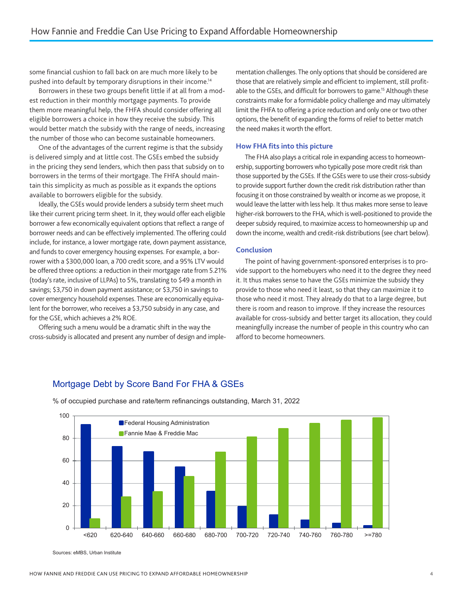<span id="page-4-0"></span>some financial cushion to fall back on are much more likely to be pushed into default by temporary disruptions in their income[.14](#page-7-0)

Borrowers in these two groups benefit little if at all from a modest reduction in their monthly mortgage payments. To provide them more meaningful help, the FHFA should consider offering all eligible borrowers a choice in how they receive the subsidy. This would better match the subsidy with the range of needs, increasing the number of those who can become sustainable homeowners.

One of the advantages of the current regime is that the subsidy is delivered simply and at little cost. The GSEs embed the subsidy in the pricing they send lenders, which then pass that subsidy on to borrowers in the terms of their mortgage. The FHFA should maintain this simplicity as much as possible as it expands the options available to borrowers eligible for the subsidy.

Ideally, the GSEs would provide lenders a subsidy term sheet much like their current pricing term sheet. In it, they would offer each eligible borrower a few economically equivalent options that reflect a range of borrower needs and can be effectively implemented. The offering could include, for instance, a lower mortgage rate, down payment assistance, and funds to cover emergency housing expenses. For example, a borrower with a \$300,000 loan, a 700 credit score, and a 95% LTV would be offered three options: a reduction in their mortgage rate from 5.21% (today's rate, inclusive of LLPAs) to 5%, translating to \$49 a month in savings; \$3,750 in down payment assistance; or \$3,750 in savings to cover emergency household expenses. These are economically equivalent for the borrower, who receives a \$3,750 subsidy in any case, and for the GSE, which achieves a 2% ROE.

Offering such a menu would be a dramatic shift in the way the cross-subsidy is allocated and present any number of design and implementation challenges. The only options that should be considered are those that are relatively simple and efficient to implement, still profitable to the GSEs, and difficult for borrowers to game.<sup>15</sup> Although these constraints make for a formidable policy challenge and may ultimately limit the FHFA to offering a price reduction and only one or two other options, the benefit of expanding the forms of relief to better match the need makes it worth the effort.

### **How FHA fits into this picture**

The FHA also plays a critical role in expanding access to homeownership, supporting borrowers who typically pose more credit risk than those supported by the GSEs. If the GSEs were to use their cross-subsidy to provide support further down the credit risk distribution rather than focusing it on those constrained by wealth or income as we propose, it would leave the latter with less help. It thus makes more sense to leave higher-risk borrowers to the FHA, which is well-positioned to provide the deeper subsidy required, to maximize access to homeownership up and down the income, wealth and credit-risk distributions (see chart below).

#### **Conclusion**

The point of having government-sponsored enterprises is to provide support to the homebuyers who need it to the degree they need it. It thus makes sense to have the GSEs minimize the subsidy they provide to those who need it least, so that they can maximize it to those who need it most. They already do that to a large degree, but there is room and reason to improve. If they increase the resources available for cross-subsidy and better target its allocation, they could meaningfully increase the number of people in this country who can afford to become homeowners.

## Mortgage Debt by Score Band For FHA & GSEs



% of occupied purchase and rate/term refinancings outstanding, March 31, 2022

Sources: eMBS, Urban Institute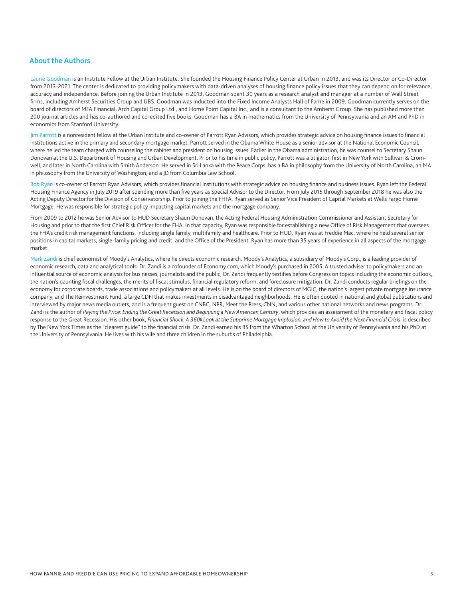#### About the Authors

Laurie Goodman is an Institute Fellow at the Urban Institute. She founded the Housing Finance Policy Center at Urban in 2013, and was its Director or Co-Director from 2013-2021. The center is dedicated to providing policymakers with data-driven analyses of housing finance policy issues that they can depend on for relevance, accuracy and independence. Before joining the Urban Institute in 2013, Goodman spent 30 years as a research analyst and manager at a number of Wall Street firms, including Amherst Securities Group and UBS. Goodman was inducted into the Fixed Income Analysts Hall of Fame in 2009. Goodman currently serves on the board of directors of MFA Financial, Arch Capital Group Ltd., and Home Point Capital Inc., and is a consultant to the Amherst Group. She has published more than 200 journal articles and has co-authored and co-edited five books. Goodman has a BA in mathematics from the University of Pennsylvania and an AM and PhD in economics from Stanford University.

Jim Parrott is a nonresident fellow at the Urban Institute and co-owner of Parrott Ryan Advisors, which provides strategic advice on housing finance issues to financial institutions active in the primary and secondary mortgage market. Parrott served in the Obama White House as a senior advisor at the National Economic Council, where he led the team charged with counseling the cabinet and president on housing issues. Earlier in the Obama administration, he was counsel to Secretary Shaun Donovan at the U.S. Department of Housing and Urban Development. Prior to his time in public policy, Parrott was a litigator, first in New York with Sullivan & Cromwell, and later in North Carolina with Smith Anderson. He served in Sri Lanka with the Peace Corps, has a BA in philosophy from the University of North Carolina, an MA in philosophy from the University of Washington, and a JD from Columbia Law School.

Bob Ryan is co-owner of Parrott Ryan Advisors, which provides financial institutions with strategic advice on housing finance and business issues. Ryan left the Federal Housing Finance Agency in July 2019 after spending more than five years as Special Advisor to the Director. From July 2015 through September 2018 he was also the Acting Deputy Director for the Division of Conservatorship. Prior to joining the FHFA, Ryan served as Senior Vice President of Capital Markets at Wells Fargo Home Mortgage. He was responsible for strategic policy impacting capital markets and the mortgage company.

From 2009 to 2012 he was Senior Advisor to HUD Secretary Shaun Donovan, the Acting Federal Housing Administration Commissioner and Assistant Secretary for Housing and prior to that the first Chief Risk Officer for the FHA. In that capacity, Ryan was responsible for establishing a new Office of Risk Management that oversees the FHA's credit risk management functions, including single family, multifamily and healthcare. Prior to HUD, Ryan was at Freddie Mac, where he held several senior positions in capital markets, single-family pricing and credit, and the Office of the President. Ryan has more than 35 years of experience in all aspects of the mortgage market.

Mark Zandi is chief economist of Moody's Analytics, where he directs economic research. Moody's Analytics, a subsidiary of Moody's Corp., is a leading provider of economic research, data and analytical tools. Dr. Zandi is a cofounder of Economy.com, which Moody's purchased in 2005. A trusted adviser to policymakers and an influential source of economic analysis for businesses, journalists and the public, Dr. Zandi frequently testifies before Congress on topics including the economic outlook, the nation's daunting fiscal challenges, the merits of fiscal stimulus, financial regulatory reform, and foreclosure mitigation. Dr. Zandi conducts regular briefings on the economy for corporate boards, trade associations and policymakers at all levels. He is on the board of directors of MGIC, the nation's largest private mortgage insurance company, and The Reinvestment Fund, a large CDFI that makes investments in disadvantaged neighborhoods. He is often quoted in national and global publications and interviewed by major news media outlets, and is a frequent guest on CNBC, NPR, Meet the Press, CNN, and various other national networks and news programs. Dr. Zandi is the author of *Paying the Price: Ending the Great Recession and Beginning a New American Century*, which provides an assessment of the monetary and fiscal policy response to the Great Recession. His other book, *Financial Shock: A 360º Look at the Subprime Mortgage Implosion, and How to Avoid the Next Financial Crisis*, is described by The New York Times as the "clearest guide" to the financial crisis. Dr. Zandi earned his BS from the Wharton School at the University of Pennsylvania and his PhD at the University of Pennsylvania. He lives with his wife and three children in the suburbs of Philadelphia.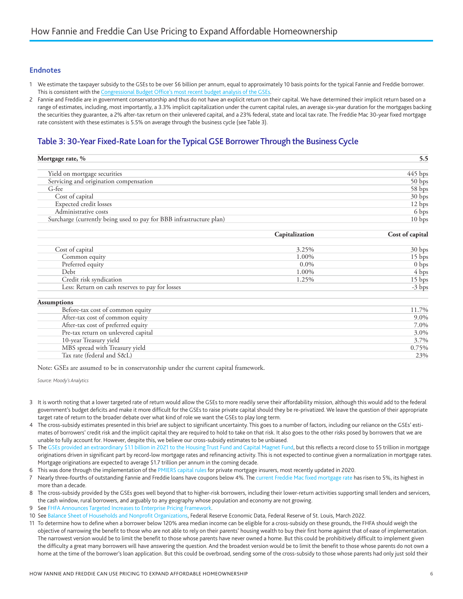#### <span id="page-6-0"></span>**Endnotes**

- [1](#page-1-0) We estimate the taxpayer subsidy to the GSEs to be over \$6 billion per annum, equal to approximately 10 basis points for the typical Fannie and Freddie borrower. This is consistent with the [Congressional Budget Office's most recent budget analysis of the GSEs](https://www.cbo.gov/system/files/2021-10/57412-Federal-Credit-Programs.pdf).
- Fannie and Freddie are in government conservatorship and thus do not have an explicit return on their capital. We have determined their implicit return based on a range of estimates, including, most importantly, a 3.3% implicit capitalization under the current capital rules, an average six-year duration for the mortgages backing the securities they guarantee, a 2% after-tax return on their unlevered capital, and a 23% federal, state and local tax rate. The Freddie Mac 30-year fixed mortgage rate consistent with these estimates is 5.5% on average through the business cycle (see Table 3).

# Table 3: 30-Year Fixed-Rate Loan for the Typical GSE Borrower Through the Business Cycle

| Mortgage rate, %                                                    | 5.5               |  |
|---------------------------------------------------------------------|-------------------|--|
| Yield on mortgage securities                                        | $445$ bps         |  |
| Servicing and origination compensation                              | 50 bps            |  |
| G-fee                                                               | 58 bps            |  |
| Cost of capital                                                     | 30 bps            |  |
| Expected credit losses                                              | 12 bps            |  |
| Administrative costs                                                | 6 bps             |  |
| Surcharge (currently being used to pay for BBB infrastructure plan) | 10 <sub>bps</sub> |  |

|                                                 | Capitalization | Cost of capital   |
|-------------------------------------------------|----------------|-------------------|
| Cost of capital                                 | 3.25%          | 30 <sub>bps</sub> |
| Common equity                                   | 1.00%          | 15 bps            |
| Preferred equity                                | $0.0\%$        | 0 <sub>bps</sub>  |
| Debt                                            | 1.00%          | 4 bps             |
| Credit risk syndication                         | 1.25%          | 15 bps            |
| Less: Return on cash reserves to pay for losses |                | $-3$ bps          |

| <b>Assumptions</b>                  |       |
|-------------------------------------|-------|
| Before-tax cost of common equity    | 11.7% |
| After-tax cost of common equity     | 9.0%  |
| After-tax cost of preferred equity  | 7.0%  |
| Pre-tax return on unlevered capital | 3.0%  |
| 10-year Treasury yield              | 3.7%  |
| MBS spread with Treasury yield      | 0.75% |
| Tax rate (federal and S&L)          | 23%   |

Note: GSEs are assumed to be in conservatorship under the current capital framework.

*Source: Moody's Analytics*

- [3](#page-1-0) It is worth noting that a lower targeted rate of return would allow the GSEs to more readily serve their affordability mission, although this would add to the federal government's budget deficits and make it more difficult for the GSEs to raise private capital should they be re-privatized. We leave the question of their appropriate target rate of return to the broader debate over what kind of role we want the GSEs to play long term.
- [4](#page-1-0) The cross-subsidy estimates presented in this brief are subject to significant uncertainty. This goes to a number of factors, including our reliance on the GSEs' estimates of borrowers' credit risk and the implicit capital they are required to hold to take on that risk. It also goes to the other risks posed by borrowers that we are unable to fully account for. However, despite this, we believe our cross-subsidy estimates to be unbiased.
- [5](#page-2-0) The [GSEs provided an extraordinary \\$1.1 billion in 2021 to the Housing Trust Fund and Capital Magnet Fund](https://www.ncsha.org/blog/fhfa-announces-largest-allocation-yet-to-housing-trust-fund-and-capital-magnet-fund/), but this reflects a record close to \$5 trillion in mortgage originations driven in significant part by record-low mortgage rates and refinancing activity. This is not expected to continue given a normalization in mortgage rates. Mortgage originations are expected to average \$1.7 trillion per annum in the coming decade.

[6](#page-2-0) This was done through the implementation of the [PMIERS capital rules](https://singlefamily.fanniemae.com/media/23266/display) for private mortgage insurers, most recently updated in 2020.

- [7](#page-2-0) Nearly three-fourths of outstanding Fannie and Freddie loans have coupons below 4%. The [current Freddie Mac fixed mortgage rate](https://fred.stlouisfed.org/series/MORTGAGE30US) has risen to 5%, its highest in more than a decade.
- [8](#page-2-0) The cross-subsidy provided by the GSEs goes well beyond that to higher-risk borrowers, including their lower-return activities supporting small lenders and servicers, the cash window, rural borrowers, and arguably to any geography whose population and economy are not growing.
- [9](#page-3-0) See [FHFA Announces Targeted Increases to Enterprise Pricing Framework](https://www.fhfa.gov/Media/PublicAffairs/Pages/FHFA-Announces-Targeted-Increases-to-Enterprise-Pricing-Framework.aspx).
- [10](#page-3-0) See [Balance Sheet of Households and Nonprofit Organizations](https://fred.stlouisfed.org/series/OEHRENWBSHNO), Federal Reserve Economic Data, Federal Reserve of St. Louis, March 2022.
- [11](#page-3-0) To determine how to define when a borrower below 120% area median income can be eligible for a cross-subsidy on these grounds, the FHFA should weigh the objective of narrowing the benefit to those who are not able to rely on their parents' housing wealth to buy their first home against that of ease of implementation. The narrowest version would be to limit the benefit to those whose parents have never owned a home. But this could be prohibitively difficult to implement given the difficulty a great many borrowers will have answering the question. And the broadest version would be to limit the benefit to those whose parents do not own a home at the time of the borrower's loan application. But this could be overbroad, sending some of the cross-subsidy to those whose parents had only just sold their